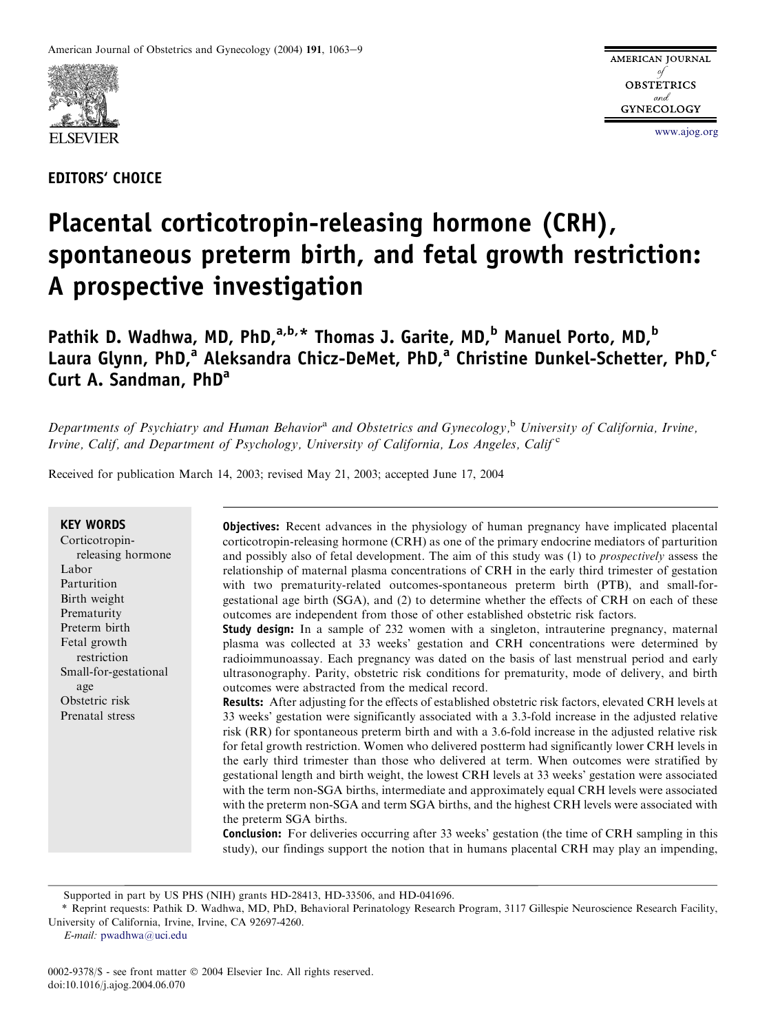

EDITORS' CHOICE

[www.ajog.org](http://www.ajog.org)

# Placental corticotropin-releasing hormone (CRH), spontaneous preterm birth, and fetal growth restriction: A prospective investigation

Pathik D. Wadhwa, MD, PhD, $a,b,*$  Thomas J. Garite, MD, $^b$  Manuel Porto, MD, $^b$ Laura Glynn, PhD,<sup>a</sup> Aleksandra Chicz-DeMet, PhD,<sup>a</sup> Christine Dunkel-Schetter, PhD,<sup>c</sup> Curt A. Sandman, PhD<sup>a</sup>

Departments of Psychiatry and Human Behavior<sup>a</sup> and Obstetrics and Gynecology,<sup>b</sup> University of California, Irvine, Irvine, Calif, and Department of Psychology, University of California, Los Angeles, Calif<sup>c</sup>

Received for publication March 14, 2003; revised May 21, 2003; accepted June 17, 2004

| <b>KEY WORDS</b><br>Corticotropin-<br>releasing hormone<br>Labor<br>Parturition<br>Birth weight<br>Prematurity<br>Preterm birth<br>Fetal growth<br>restriction<br>Small-for-gestational<br>age<br>Obstetric risk<br>Prenatal stress | <b>Objectives:</b> Recent advances in the physiology of human pregnancy have implicated placental<br>corticotropin-releasing hormone (CRH) as one of the primary endocrine mediators of parturition<br>and possibly also of fetal development. The aim of this study was (1) to <i>prospectively</i> assess the<br>relationship of maternal plasma concentrations of CRH in the early third trimester of gestation<br>with two prematurity-related outcomes-spontaneous preterm birth (PTB), and small-for-<br>gestational age birth (SGA), and (2) to determine whether the effects of CRH on each of these<br>outcomes are independent from those of other established obstetric risk factors.<br><b>Study design:</b> In a sample of 232 women with a singleton, intrauterine pregnancy, maternal<br>plasma was collected at 33 weeks' gestation and CRH concentrations were determined by<br>radioimmunoassay. Each pregnancy was dated on the basis of last menstrual period and early<br>ultrasonography. Parity, obstetric risk conditions for prematurity, mode of delivery, and birth<br>outcomes were abstracted from the medical record.<br><b>Results:</b> After adjusting for the effects of established obstetric risk factors, elevated CRH levels at<br>33 weeks' gestation were significantly associated with a 3.3-fold increase in the adjusted relative<br>risk (RR) for spontaneous preterm birth and with a 3.6-fold increase in the adjusted relative risk<br>for fetal growth restriction. Women who delivered postterm had significantly lower CRH levels in<br>the early third trimester than those who delivered at term. When outcomes were stratified by<br>gestational length and birth weight, the lowest CRH levels at 33 weeks' gestation were associated<br>with the term non-SGA births, intermediate and approximately equal CRH levels were associated<br>with the preterm non-SGA and term SGA births, and the highest CRH levels were associated with |
|-------------------------------------------------------------------------------------------------------------------------------------------------------------------------------------------------------------------------------------|----------------------------------------------------------------------------------------------------------------------------------------------------------------------------------------------------------------------------------------------------------------------------------------------------------------------------------------------------------------------------------------------------------------------------------------------------------------------------------------------------------------------------------------------------------------------------------------------------------------------------------------------------------------------------------------------------------------------------------------------------------------------------------------------------------------------------------------------------------------------------------------------------------------------------------------------------------------------------------------------------------------------------------------------------------------------------------------------------------------------------------------------------------------------------------------------------------------------------------------------------------------------------------------------------------------------------------------------------------------------------------------------------------------------------------------------------------------------------------------------------------------------------------------------------------------------------------------------------------------------------------------------------------------------------------------------------------------------------------------------------------------------------------------------------------------------------------------------------------------------------------------------------------------------------------------------------------------------------------------------|
|                                                                                                                                                                                                                                     |                                                                                                                                                                                                                                                                                                                                                                                                                                                                                                                                                                                                                                                                                                                                                                                                                                                                                                                                                                                                                                                                                                                                                                                                                                                                                                                                                                                                                                                                                                                                                                                                                                                                                                                                                                                                                                                                                                                                                                                              |
|                                                                                                                                                                                                                                     | the preterm SGA births.                                                                                                                                                                                                                                                                                                                                                                                                                                                                                                                                                                                                                                                                                                                                                                                                                                                                                                                                                                                                                                                                                                                                                                                                                                                                                                                                                                                                                                                                                                                                                                                                                                                                                                                                                                                                                                                                                                                                                                      |
|                                                                                                                                                                                                                                     | <b>Conclusion:</b> For deliveries occurring after 33 weeks' gestation (the time of CRH sampling in this<br>study), our findings support the notion that in humans placental CRH may play an impending,                                                                                                                                                                                                                                                                                                                                                                                                                                                                                                                                                                                                                                                                                                                                                                                                                                                                                                                                                                                                                                                                                                                                                                                                                                                                                                                                                                                                                                                                                                                                                                                                                                                                                                                                                                                       |

Supported in part by US PHS (NIH) grants HD-28413, HD-33506, and HD-041696.

\* Reprint requests: Pathik D. Wadhwa, MD, PhD, Behavioral Perinatology Research Program, 3117 Gillespie Neuroscience Research Facility, University of California, Irvine, Irvine, CA 92697-4260.

E-mail: [pwadhwa@uci.edu](mailto:pwadhwa@uci.edu)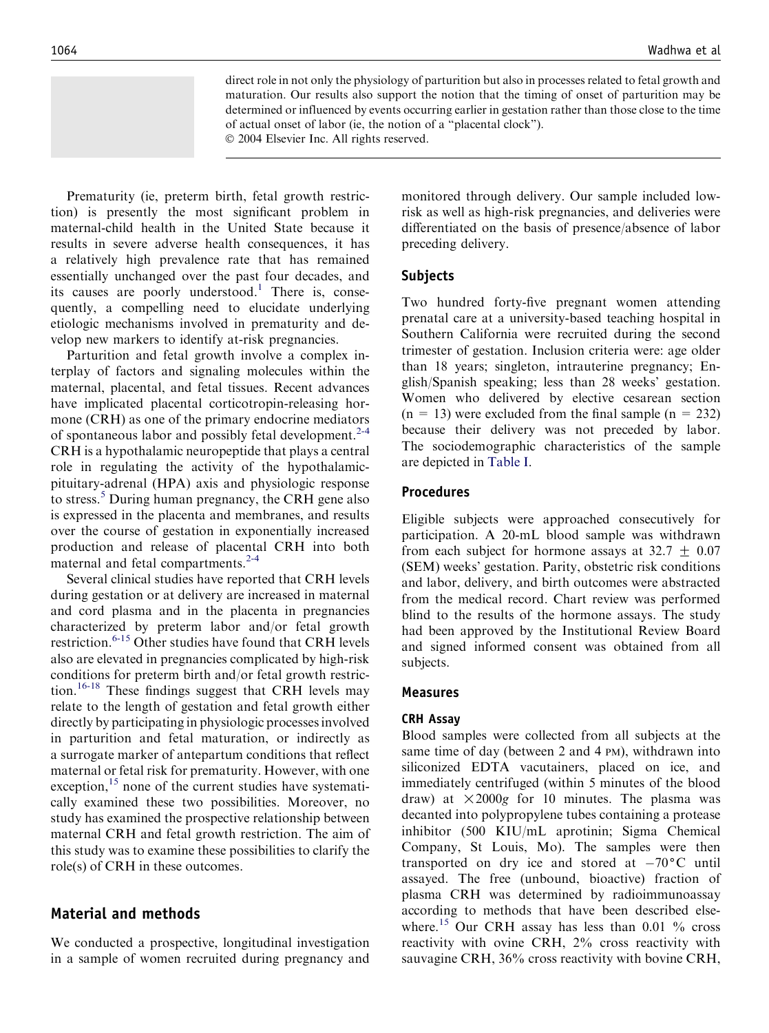direct role in not only the physiology of parturition but also in processes related to fetal growth and maturation. Our results also support the notion that the timing of onset of parturition may be determined or influenced by events occurring earlier in gestation rather than those close to the time of actual onset of labor (ie, the notion of a ''placental clock'').

2004 Elsevier Inc. All rights reserved.

Prematurity (ie, preterm birth, fetal growth restriction) is presently the most significant problem in maternal-child health in the United State because it results in severe adverse health consequences, it has a relatively high prevalence rate that has remained essentially unchanged over the past four decades, and its causes are poorly understood.<sup>[1](#page-5-0)</sup> There is, consequently, a compelling need to elucidate underlying etiologic mechanisms involved in prematurity and develop new markers to identify at-risk pregnancies.

Parturition and fetal growth involve a complex interplay of factors and signaling molecules within the maternal, placental, and fetal tissues. Recent advances have implicated placental corticotropin-releasing hormone (CRH) as one of the primary endocrine mediators of spontaneous labor and possibly fetal development.<sup>[2-4](#page-5-0)</sup> CRH is a hypothalamic neuropeptide that plays a central role in regulating the activity of the hypothalamicpituitary-adrenal (HPA) axis and physiologic response to stress.[5](#page-5-0) During human pregnancy, the CRH gene also is expressed in the placenta and membranes, and results over the course of gestation in exponentially increased production and release of placental CRH into both maternal and fetal compartments.<sup>2-4</sup>

Several clinical studies have reported that CRH levels during gestation or at delivery are increased in maternal and cord plasma and in the placenta in pregnancies characterized by preterm labor and/or fetal growth restriction.<sup>[6-15](#page-5-0)</sup> Other studies have found that CRH levels also are elevated in pregnancies complicated by high-risk conditions for preterm birth and/or fetal growth restric-tion.<sup>[16-18](#page-6-0)</sup> These findings suggest that CRH levels may relate to the length of gestation and fetal growth either directly by participating in physiologic processes involved in parturition and fetal maturation, or indirectly as a surrogate marker of antepartum conditions that reflect maternal or fetal risk for prematurity. However, with one exception, $15$  none of the current studies have systematically examined these two possibilities. Moreover, no study has examined the prospective relationship between maternal CRH and fetal growth restriction. The aim of this study was to examine these possibilities to clarify the role(s) of CRH in these outcomes.

# Material and methods

We conducted a prospective, longitudinal investigation in a sample of women recruited during pregnancy and

monitored through delivery. Our sample included lowrisk as well as high-risk pregnancies, and deliveries were differentiated on the basis of presence/absence of labor preceding delivery.

## Subjects

Two hundred forty-five pregnant women attending prenatal care at a university-based teaching hospital in Southern California were recruited during the second trimester of gestation. Inclusion criteria were: age older than 18 years; singleton, intrauterine pregnancy; English/Spanish speaking; less than 28 weeks' gestation. Women who delivered by elective cesarean section  $(n = 13)$  were excluded from the final sample  $(n = 232)$ because their delivery was not preceded by labor. The sociodemographic characteristics of the sample are depicted in [Table I](#page-2-0).

## Procedures

Eligible subjects were approached consecutively for participation. A 20-mL blood sample was withdrawn from each subject for hormone assays at  $32.7 \pm 0.07$ (SEM) weeks' gestation. Parity, obstetric risk conditions and labor, delivery, and birth outcomes were abstracted from the medical record. Chart review was performed blind to the results of the hormone assays. The study had been approved by the Institutional Review Board and signed informed consent was obtained from all subjects.

#### Measures

#### CRH Assay

Blood samples were collected from all subjects at the same time of day (between 2 and 4 PM), withdrawn into siliconized EDTA vacutainers, placed on ice, and immediately centrifuged (within 5 minutes of the blood draw) at  $\times 2000g$  for 10 minutes. The plasma was decanted into polypropylene tubes containing a protease inhibitor (500 KIU/mL aprotinin; Sigma Chemical Company, St Louis, Mo). The samples were then transported on dry ice and stored at  $-70^{\circ}$ C until assayed. The free (unbound, bioactive) fraction of plasma CRH was determined by radioimmunoassay according to methods that have been described else-where.<sup>[15](#page-6-0)</sup> Our CRH assay has less than 0.01  $\%$  cross reactivity with ovine CRH, 2% cross reactivity with sauvagine CRH, 36% cross reactivity with bovine CRH,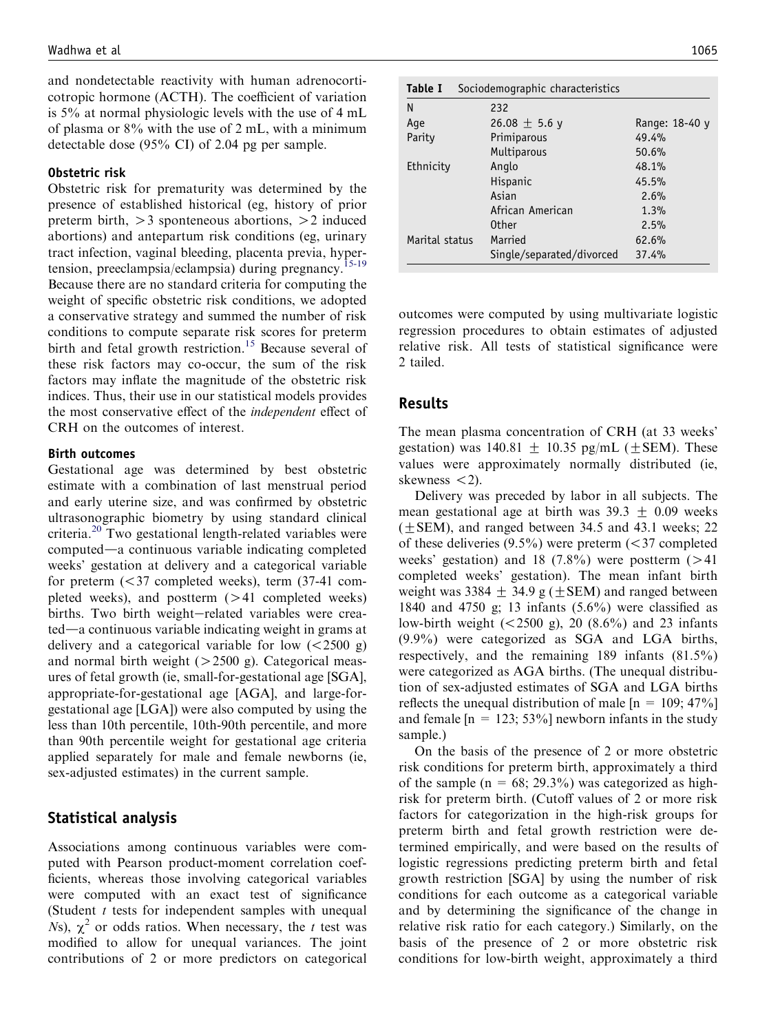<span id="page-2-0"></span>and nondetectable reactivity with human adrenocorticotropic hormone (ACTH). The coefficient of variation is 5% at normal physiologic levels with the use of 4 mL of plasma or 8% with the use of 2 mL, with a minimum detectable dose (95% CI) of 2.04 pg per sample.

#### Obstetric risk

Obstetric risk for prematurity was determined by the presence of established historical (eg, history of prior preterm birth,  $>3$  sponteneous abortions,  $>2$  induced abortions) and antepartum risk conditions (eg, urinary tract infection, vaginal bleeding, placenta previa, hypertension, preeclampsia/eclampsia) during pregnancy.<sup>15-19</sup> Because there are no standard criteria for computing the weight of specific obstetric risk conditions, we adopted a conservative strategy and summed the number of risk conditions to compute separate risk scores for preterm birth and fetal growth restriction.<sup>[15](#page-6-0)</sup> Because several of these risk factors may co-occur, the sum of the risk factors may inflate the magnitude of the obstetric risk indices. Thus, their use in our statistical models provides the most conservative effect of the independent effect of CRH on the outcomes of interest.

#### Birth outcomes

Gestational age was determined by best obstetric estimate with a combination of last menstrual period and early uterine size, and was confirmed by obstetric ultrasonographic biometry by using standard clinical criteria.<sup>[20](#page-6-0)</sup> Two gestational length-related variables were computed—a continuous variable indicating completed weeks' gestation at delivery and a categorical variable for preterm  $( $37$  completed weeks)$ , term  $(37-41$  completed weeks), and postterm  $(>41$  completed weeks) births. Two birth weight-related variables were crea $ted$ —a continuous variable indicating weight in grams at delivery and a categorical variable for low  $\left( \langle 2500 \rangle g \right)$ and normal birth weight  $(>2500 \text{ g})$ . Categorical measures of fetal growth (ie, small-for-gestational age [SGA], appropriate-for-gestational age [AGA], and large-forgestational age [LGA]) were also computed by using the less than 10th percentile, 10th-90th percentile, and more than 90th percentile weight for gestational age criteria applied separately for male and female newborns (ie, sex-adjusted estimates) in the current sample.

# Statistical analysis

Associations among continuous variables were computed with Pearson product-moment correlation coefficients, whereas those involving categorical variables were computed with an exact test of significance (Student  $t$  tests for independent samples with unequal Ns),  $\chi^2$  or odds ratios. When necessary, the t test was modified to allow for unequal variances. The joint contributions of 2 or more predictors on categorical

| Table I        | Sociodemographic characteristics |                |  |
|----------------|----------------------------------|----------------|--|
| N              | 232                              |                |  |
| Age            | 26.08 $\pm$ 5.6 y                | Range: 18-40 y |  |
| Parity         | Primiparous                      | 49.4%          |  |
|                | Multiparous                      | 50.6%          |  |
| Ethnicity      | Anglo                            | 48.1%          |  |
|                | Hispanic                         | 45.5%          |  |
|                | Asian                            | 2.6%           |  |
|                | African American                 | 1.3%           |  |
|                | <b>Other</b>                     | 2.5%           |  |
| Marital status | Married                          | 62.6%          |  |
|                | Single/separated/divorced        | 37.4%          |  |

outcomes were computed by using multivariate logistic regression procedures to obtain estimates of adjusted relative risk. All tests of statistical significance were 2 tailed.

# Results

The mean plasma concentration of CRH (at 33 weeks' gestation) was  $140.81 \pm 10.35$  pg/mL ( $\pm$ SEM). These values were approximately normally distributed (ie, skewness  $\lt$ 2).

Delivery was preceded by labor in all subjects. The mean gestational age at birth was  $39.3 \pm 0.09$  weeks  $(\pm$  SEM), and ranged between 34.5 and 43.1 weeks; 22 of these deliveries  $(9.5\%)$  were preterm (<37 completed weeks' gestation) and 18 (7.8%) were postterm  $(>41)$ completed weeks' gestation). The mean infant birth weight was 3384  $\pm$  34.9 g ( $\pm$ SEM) and ranged between 1840 and 4750 g; 13 infants (5.6%) were classified as low-birth weight  $(<2500 \text{ g})$ , 20  $(8.6\%)$  and 23 infants (9.9%) were categorized as SGA and LGA births, respectively, and the remaining 189 infants (81.5%) were categorized as AGA births. (The unequal distribution of sex-adjusted estimates of SGA and LGA births reflects the unequal distribution of male  $[n = 109; 47\%]$ and female  $[n = 123; 53\%]$  newborn infants in the study sample.)

On the basis of the presence of 2 or more obstetric risk conditions for preterm birth, approximately a third of the sample ( $n = 68$ ; 29.3%) was categorized as highrisk for preterm birth. (Cutoff values of 2 or more risk factors for categorization in the high-risk groups for preterm birth and fetal growth restriction were determined empirically, and were based on the results of logistic regressions predicting preterm birth and fetal growth restriction [SGA] by using the number of risk conditions for each outcome as a categorical variable and by determining the significance of the change in relative risk ratio for each category.) Similarly, on the basis of the presence of 2 or more obstetric risk conditions for low-birth weight, approximately a third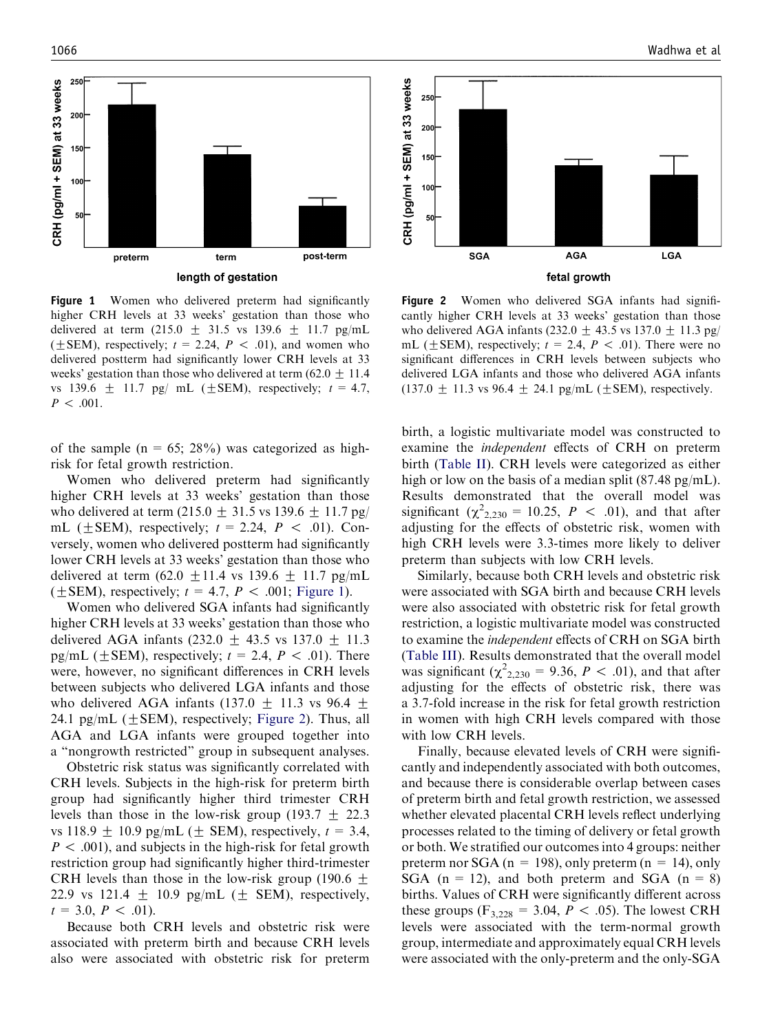

Figure 1 Women who delivered preterm had significantly higher CRH levels at 33 weeks' gestation than those who delivered at term (215.0  $\pm$  31.5 vs 139.6  $\pm$  11.7 pg/mL ( $\pm$ SEM), respectively;  $t = 2.24$ ,  $P < .01$ ), and women who delivered postterm had significantly lower CRH levels at 33 weeks' gestation than those who delivered at term (62.0  $\pm$  11.4 vs 139.6  $\pm$  11.7 pg/ mL ( $\pm$ SEM), respectively;  $t = 4.7$ ,  $P < .001$ .

of the sample ( $n = 65$ ; 28%) was categorized as highrisk for fetal growth restriction.

Women who delivered preterm had significantly higher CRH levels at 33 weeks' gestation than those who delivered at term (215.0  $\pm$  31.5 vs 139.6  $\pm$  11.7 pg/ mL ( $\pm$ SEM), respectively;  $t = 2.24$ ,  $P < .01$ ). Conversely, women who delivered postterm had significantly lower CRH levels at 33 weeks' gestation than those who delivered at term (62.0  $\pm$ 11.4 vs 139.6  $\pm$  11.7 pg/mL ( $\pm$ SEM), respectively;  $t = 4.7$ ,  $P < .001$ ; Figure 1).

Women who delivered SGA infants had significantly higher CRH levels at 33 weeks' gestation than those who delivered AGA infants  $(232.0 + 43.5 \text{ vs } 137.0 + 11.3)$ pg/mL ( $\pm$ SEM), respectively;  $t = 2.4$ ,  $P < .01$ ). There were, however, no significant differences in CRH levels between subjects who delivered LGA infants and those who delivered AGA infants (137.0  $\pm$  11.3 vs 96.4  $\pm$ 24.1 pg/mL ( $\pm$ SEM), respectively; Figure 2). Thus, all AGA and LGA infants were grouped together into a ''nongrowth restricted'' group in subsequent analyses.

Obstetric risk status was significantly correlated with CRH levels. Subjects in the high-risk for preterm birth group had significantly higher third trimester CRH levels than those in the low-risk group (193.7  $\pm$  22.3 vs 118.9  $\pm$  10.9 pg/mL ( $\pm$  SEM), respectively,  $t = 3.4$ ,  $P < .001$ ), and subjects in the high-risk for fetal growth restriction group had significantly higher third-trimester CRH levels than those in the low-risk group (190.6  $\pm$ 22.9 vs 121.4  $\pm$  10.9 pg/mL ( $\pm$  SEM), respectively,  $t = 3.0, P < .01$ .

Because both CRH levels and obstetric risk were associated with preterm birth and because CRH levels also were associated with obstetric risk for preterm



Figure 2 Women who delivered SGA infants had significantly higher CRH levels at 33 weeks' gestation than those who delivered AGA infants (232.0  $\pm$  43.5 vs 137.0  $\pm$  11.3 pg/ mL ( $\pm$ SEM), respectively;  $t = 2.4$ ,  $P < .01$ ). There were no significant differences in CRH levels between subjects who delivered LGA infants and those who delivered AGA infants  $(137.0 + 11.3 \text{ vs } 96.4 + 24.1 \text{ pg/mL } (+SEM)$ , respectively.

birth, a logistic multivariate model was constructed to examine the independent effects of CRH on preterm birth ([Table II\)](#page-4-0). CRH levels were categorized as either high or low on the basis of a median split (87.48 pg/mL). Results demonstrated that the overall model was significant ( $\chi^2_{2,230} = 10.25$ ,  $P < .01$ ), and that after adjusting for the effects of obstetric risk, women with high CRH levels were 3.3-times more likely to deliver preterm than subjects with low CRH levels.

Similarly, because both CRH levels and obstetric risk were associated with SGA birth and because CRH levels were also associated with obstetric risk for fetal growth restriction, a logistic multivariate model was constructed to examine the independent effects of CRH on SGA birth [\(Table III\)](#page-4-0). Results demonstrated that the overall model was significant ( $\chi^2_{2,230} = 9.36$ ,  $P < .01$ ), and that after adjusting for the effects of obstetric risk, there was a 3.7-fold increase in the risk for fetal growth restriction in women with high CRH levels compared with those with low CRH levels.

Finally, because elevated levels of CRH were significantly and independently associated with both outcomes, and because there is considerable overlap between cases of preterm birth and fetal growth restriction, we assessed whether elevated placental CRH levels reflect underlying processes related to the timing of delivery or fetal growth or both. We stratified our outcomes into 4 groups: neither preterm nor SGA ( $n = 198$ ), only preterm ( $n = 14$ ), only SGA ( $n = 12$ ), and both preterm and SGA ( $n = 8$ ) births. Values of CRH were significantly different across these groups ( $F_{3,228} = 3.04, P < .05$ ). The lowest CRH levels were associated with the term-normal growth group, intermediate and approximately equal CRH levels were associated with the only-preterm and the only-SGA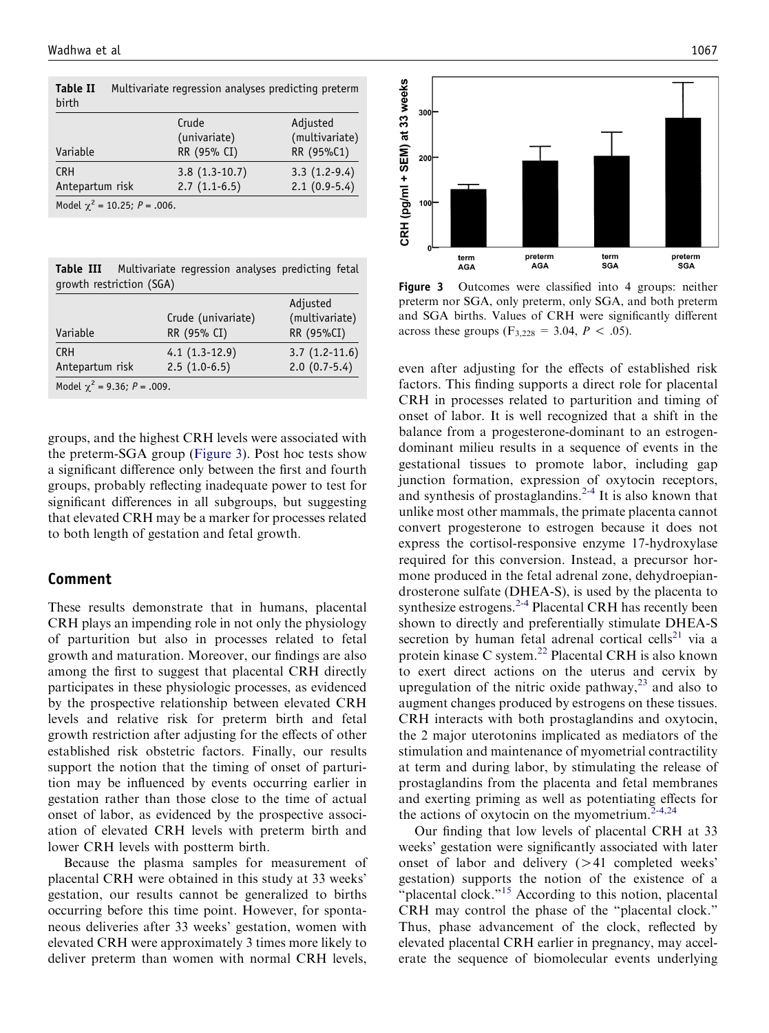| birth                             |                 |                |
|-----------------------------------|-----------------|----------------|
|                                   | Crude           | Adjusted       |
|                                   | (univariate)    | (multivariate) |
| Variable                          | RR (95% CI)     | RR (95%C1)     |
| <b>CRH</b>                        | $3.8(1.3-10.7)$ | $3.3(1.2-9.4)$ |
| Antepartum risk                   | $2.7(1.1-6.5)$  | $2.1(0.9-5.4)$ |
| Model $\chi^2$ = 10.25; P = .006. |                 |                |

<span id="page-4-0"></span>Table II Multivariate regression analyses predicting preterm birth

Table III Multivariate regression analyses predicting fetal growth restriction (SGA)

| Variable                         | Crude (univariate)<br>RR (95% CI) | Adjusted<br>(multivariate)<br>RR (95%CI) |  |  |  |
|----------------------------------|-----------------------------------|------------------------------------------|--|--|--|
| <b>CRH</b><br>Antepartum risk    | $4.1(1.3-12.9)$<br>$2.5(1.0-6.5)$ | $3.7(1.2-11.6)$<br>$2.0(0.7-5.4)$        |  |  |  |
| Model $\chi^2$ = 9.36; P = .009. |                                   |                                          |  |  |  |

groups, and the highest CRH levels were associated with the preterm-SGA group (Figure 3). Post hoc tests show a significant difference only between the first and fourth groups, probably reflecting inadequate power to test for significant differences in all subgroups, but suggesting that elevated CRH may be a marker for processes related to both length of gestation and fetal growth.

#### Comment

These results demonstrate that in humans, placental CRH plays an impending role in not only the physiology of parturition but also in processes related to fetal growth and maturation. Moreover, our findings are also among the first to suggest that placental CRH directly participates in these physiologic processes, as evidenced by the prospective relationship between elevated CRH levels and relative risk for preterm birth and fetal growth restriction after adjusting for the effects of other established risk obstetric factors. Finally, our results support the notion that the timing of onset of parturition may be influenced by events occurring earlier in gestation rather than those close to the time of actual onset of labor, as evidenced by the prospective association of elevated CRH levels with preterm birth and lower CRH levels with postterm birth.

Because the plasma samples for measurement of placental CRH were obtained in this study at 33 weeks' gestation, our results cannot be generalized to births occurring before this time point. However, for spontaneous deliveries after 33 weeks' gestation, women with elevated CRH were approximately 3 times more likely to deliver preterm than women with normal CRH levels,



Figure 3 Outcomes were classified into 4 groups: neither preterm nor SGA, only preterm, only SGA, and both preterm and SGA births. Values of CRH were significantly different across these groups  $(F_{3,228} = 3.04, P < .05)$ .

even after adjusting for the effects of established risk factors. This finding supports a direct role for placental CRH in processes related to parturition and timing of onset of labor. It is well recognized that a shift in the balance from a progesterone-dominant to an estrogendominant milieu results in a sequence of events in the gestational tissues to promote labor, including gap junction formation, expression of oxytocin receptors, and synthesis of prostaglandins. $2-4$  It is also known that unlike most other mammals, the primate placenta cannot convert progesterone to estrogen because it does not express the cortisol-responsive enzyme 17-hydroxylase required for this conversion. Instead, a precursor hormone produced in the fetal adrenal zone, dehydroepiandrosterone sulfate (DHEA-S), is used by the placenta to synthesize estrogens. $2-4$  Placental CRH has recently been shown to directly and preferentially stimulate DHEA-S secretion by human fetal adrenal cortical cells<sup>[21](#page-6-0)</sup> via a protein kinase C system.<sup>[22](#page-6-0)</sup> Placental CRH is also known to exert direct actions on the uterus and cervix by upregulation of the nitric oxide pathway, $^{23}$  $^{23}$  $^{23}$  and also to augment changes produced by estrogens on these tissues. CRH interacts with both prostaglandins and oxytocin, the 2 major uterotonins implicated as mediators of the stimulation and maintenance of myometrial contractility at term and during labor, by stimulating the release of prostaglandins from the placenta and fetal membranes and exerting priming as well as potentiating effects for the actions of oxytocin on the myometrium. $2-4,24$ 

Our finding that low levels of placental CRH at 33 weeks' gestation were significantly associated with later onset of labor and delivery  $(>41$  completed weeks' gestation) supports the notion of the existence of a "placental clock."<sup>[15](#page-6-0)</sup> According to this notion, placental CRH may control the phase of the ''placental clock.'' Thus, phase advancement of the clock, reflected by elevated placental CRH earlier in pregnancy, may accelerate the sequence of biomolecular events underlying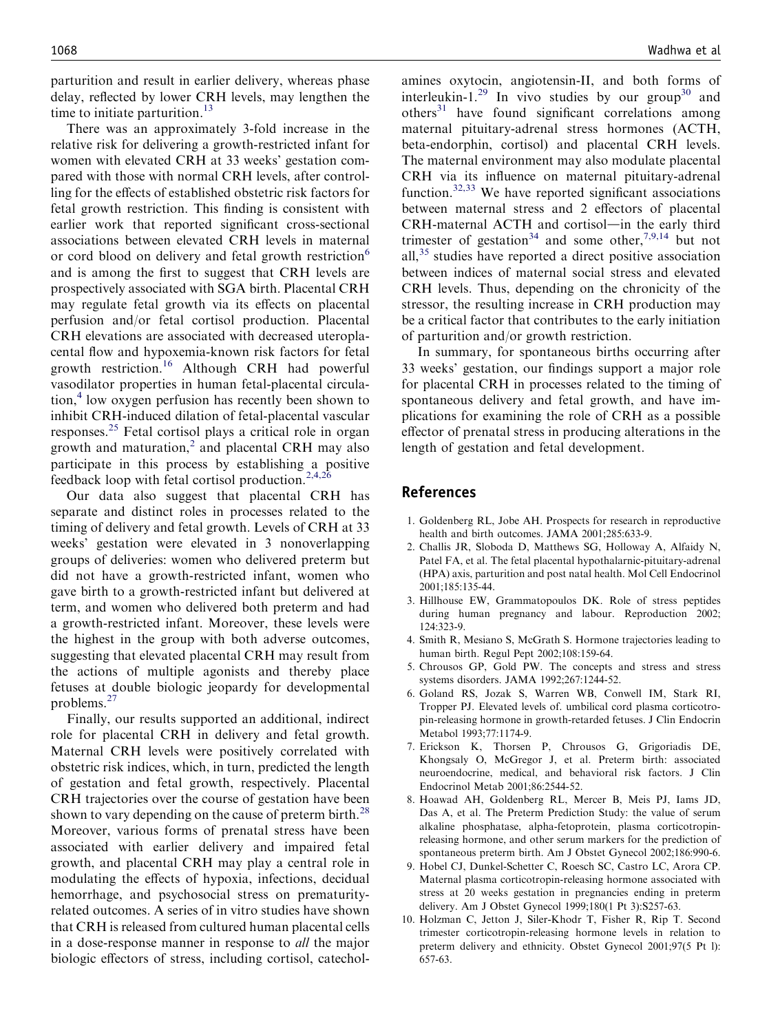<span id="page-5-0"></span>parturition and result in earlier delivery, whereas phase delay, reflected by lower CRH levels, may lengthen the time to initiate parturition. $13$ 

There was an approximately 3-fold increase in the relative risk for delivering a growth-restricted infant for women with elevated CRH at 33 weeks' gestation compared with those with normal CRH levels, after controlling for the effects of established obstetric risk factors for fetal growth restriction. This finding is consistent with earlier work that reported significant cross-sectional associations between elevated CRH levels in maternal or cord blood on delivery and fetal growth restriction<sup>6</sup> and is among the first to suggest that CRH levels are prospectively associated with SGA birth. Placental CRH may regulate fetal growth via its effects on placental perfusion and/or fetal cortisol production. Placental CRH elevations are associated with decreased uteroplacental flow and hypoxemia-known risk factors for fetal growth restriction.[16](#page-6-0) Although CRH had powerful vasodilator properties in human fetal-placental circula- $\chi$  tion,<sup>4</sup> low oxygen perfusion has recently been shown to inhibit CRH-induced dilation of fetal-placental vascular responses.[25](#page-6-0) Fetal cortisol plays a critical role in organ growth and maturation, $^{2}$  and placental CRH may also participate in this process by establishing a positive feedback loop with fetal cortisol production.<sup>2,4,26</sup>

Our data also suggest that placental CRH has separate and distinct roles in processes related to the timing of delivery and fetal growth. Levels of CRH at 33 weeks' gestation were elevated in 3 nonoverlapping groups of deliveries: women who delivered preterm but did not have a growth-restricted infant, women who gave birth to a growth-restricted infant but delivered at term, and women who delivered both preterm and had a growth-restricted infant. Moreover, these levels were the highest in the group with both adverse outcomes, suggesting that elevated placental CRH may result from the actions of multiple agonists and thereby place fetuses at double biologic jeopardy for developmental problems.[27](#page-6-0)

Finally, our results supported an additional, indirect role for placental CRH in delivery and fetal growth. Maternal CRH levels were positively correlated with obstetric risk indices, which, in turn, predicted the length of gestation and fetal growth, respectively. Placental CRH trajectories over the course of gestation have been shown to vary depending on the cause of preterm birth.<sup>[28](#page-6-0)</sup> Moreover, various forms of prenatal stress have been associated with earlier delivery and impaired fetal growth, and placental CRH may play a central role in modulating the effects of hypoxia, infections, decidual hemorrhage, and psychosocial stress on prematurityrelated outcomes. A series of in vitro studies have shown that CRH is released from cultured human placental cells in a dose-response manner in response to all the major biologic effectors of stress, including cortisol, catechol-

amines oxytocin, angiotensin-II, and both forms of interleukin-1.<sup>[29](#page-6-0)</sup> In vivo studies by our group<sup>[30](#page-6-0)</sup> and  $others<sup>31</sup>$  $others<sup>31</sup>$  $others<sup>31</sup>$  have found significant correlations among maternal pituitary-adrenal stress hormones (ACTH, beta-endorphin, cortisol) and placental CRH levels. The maternal environment may also modulate placental CRH via its influence on maternal pituitary-adrenal function. $32,33$  We have reported significant associations between maternal stress and 2 effectors of placental CRH-maternal ACTH and cortisol-in the early third trimester of gestation<sup>[34](#page-6-0)</sup> and some other,<sup>7,9,14</sup> but not all,[35](#page-6-0) studies have reported a direct positive association between indices of maternal social stress and elevated CRH levels. Thus, depending on the chronicity of the stressor, the resulting increase in CRH production may be a critical factor that contributes to the early initiation of parturition and/or growth restriction.

In summary, for spontaneous births occurring after 33 weeks' gestation, our findings support a major role for placental CRH in processes related to the timing of spontaneous delivery and fetal growth, and have implications for examining the role of CRH as a possible effector of prenatal stress in producing alterations in the length of gestation and fetal development.

#### References

- 1. Goldenberg RL, Jobe AH. Prospects for research in reproductive health and birth outcomes. JAMA 2001;285:633-9.
- 2. Challis JR, Sloboda D, Matthews SG, Holloway A, Alfaidy N, Patel FA, et al. The fetal placental hypothalarnic-pituitary-adrenal (HPA) axis, parturition and post natal health. Mol Cell Endocrinol 2001;185:135-44.
- 3. Hillhouse EW, Grammatopoulos DK. Role of stress peptides during human pregnancy and labour. Reproduction 2002; 124:323-9.
- 4. Smith R, Mesiano S, McGrath S. Hormone trajectories leading to human birth. Regul Pept 2002;108:159-64.
- 5. Chrousos GP, Gold PW. The concepts and stress and stress systems disorders. JAMA 1992;267:1244-52.
- 6. Goland RS, Jozak S, Warren WB, Conwell IM, Stark RI, Tropper PJ. Elevated levels of. umbilical cord plasma corticotropin-releasing hormone in growth-retarded fetuses. J Clin Endocrin Metabol 1993;77:1174-9.
- 7. Erickson K, Thorsen P, Chrousos G, Grigoriadis DE, Khongsaly O, McGregor J, et al. Preterm birth: associated neuroendocrine, medical, and behavioral risk factors. J Clin Endocrinol Metab 2001;86:2544-52.
- 8. Hoawad AH, Goldenberg RL, Mercer B, Meis PJ, Iams JD, Das A, et al. The Preterm Prediction Study: the value of serum alkaline phosphatase, alpha-fetoprotein, plasma corticotropinreleasing hormone, and other serum markers for the prediction of spontaneous preterm birth. Am J Obstet Gynecol 2002;186:990-6.
- 9. Hobel CJ, Dunkel-Schetter C, Roesch SC, Castro LC, Arora CP. Maternal plasma corticotropin-releasing hormone associated with stress at 20 weeks gestation in pregnancies ending in preterm delivery. Am J Obstet Gynecol 1999;180(1 Pt 3):S257-63.
- 10. Holzman C, Jetton J, Siler-Khodr T, Fisher R, Rip T. Second trimester corticotropin-releasing hormone levels in relation to preterm delivery and ethnicity. Obstet Gynecol 2001;97(5 Pt l): 657-63.